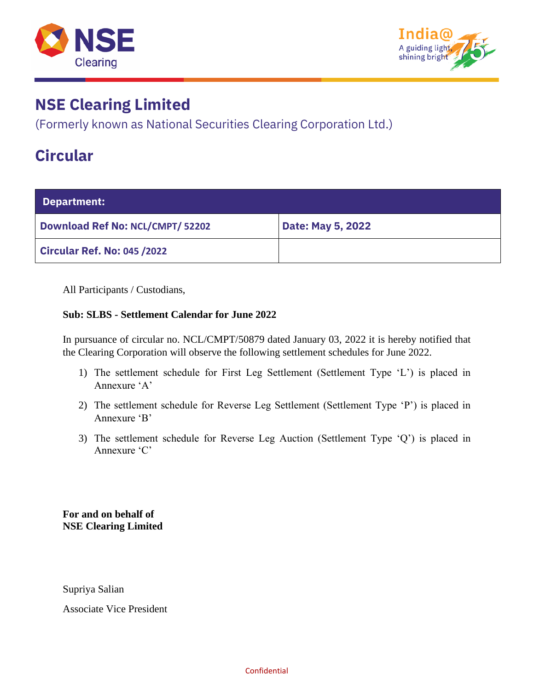



(Formerly known as National Securities Clearing Corporation Ltd.)

### **Circular**

| Department:                             |                   |  |  |  |
|-----------------------------------------|-------------------|--|--|--|
| <b>Download Ref No: NCL/CMPT/ 52202</b> | Date: May 5, 2022 |  |  |  |
| <b>Circular Ref. No: 045 /2022</b>      |                   |  |  |  |

All Participants / Custodians,

#### **Sub: SLBS - Settlement Calendar for June 2022**

In pursuance of circular no. NCL/CMPT/50879 dated January 03, 2022 it is hereby notified that the Clearing Corporation will observe the following settlement schedules for June 2022.

- 1) The settlement schedule for First Leg Settlement (Settlement Type 'L') is placed in Annexure 'A'
- 2) The settlement schedule for Reverse Leg Settlement (Settlement Type 'P') is placed in Annexure 'B'
- 3) The settlement schedule for Reverse Leg Auction (Settlement Type 'Q') is placed in Annexure 'C'

**For and on behalf of NSE Clearing Limited**

Supriya Salian

Associate Vice President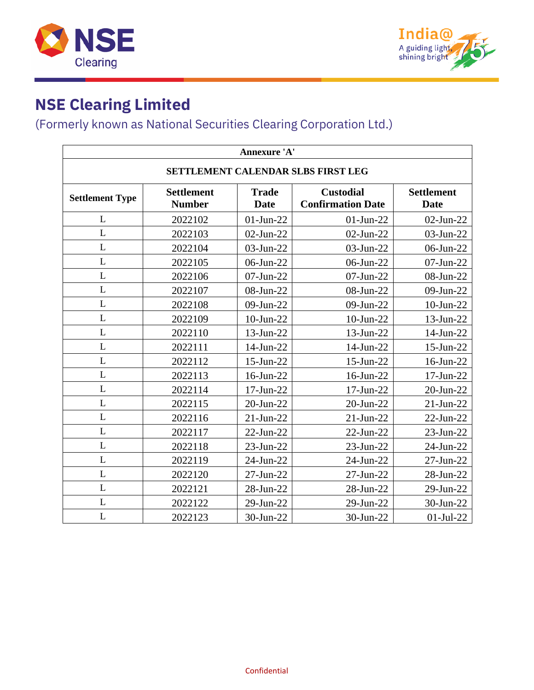



### (Formerly known as National Securities Clearing Corporation Ltd.)

| Annexure 'A'                       |                                    |                             |                                              |                                  |  |  |  |
|------------------------------------|------------------------------------|-----------------------------|----------------------------------------------|----------------------------------|--|--|--|
| SETTLEMENT CALENDAR SLBS FIRST LEG |                                    |                             |                                              |                                  |  |  |  |
| <b>Settlement Type</b>             | <b>Settlement</b><br><b>Number</b> | <b>Trade</b><br><b>Date</b> | <b>Custodial</b><br><b>Confirmation Date</b> | <b>Settlement</b><br><b>Date</b> |  |  |  |
| $\mathbf{L}$                       | 2022102                            | $01$ -Jun-22                | $01$ -Jun-22                                 | $02$ -Jun-22                     |  |  |  |
| L                                  | 2022103                            | $02$ -Jun-22                | $02$ -Jun-22                                 | 03-Jun-22                        |  |  |  |
| L                                  | 2022104                            | 03-Jun-22                   | 03-Jun-22                                    | 06-Jun-22                        |  |  |  |
| L                                  | 2022105                            | 06-Jun-22                   | 06-Jun-22                                    | 07-Jun-22                        |  |  |  |
| L                                  | 2022106                            | 07-Jun-22                   | 07-Jun-22                                    | 08-Jun-22                        |  |  |  |
| L                                  | 2022107                            | 08-Jun-22                   | 08-Jun-22                                    | 09-Jun-22                        |  |  |  |
| L                                  | 2022108                            | 09-Jun-22                   | 09-Jun-22                                    | $10$ -Jun-22                     |  |  |  |
| L                                  | 2022109                            | 10-Jun-22                   | $10$ -Jun-22                                 | 13-Jun-22                        |  |  |  |
| L                                  | 2022110                            | 13-Jun-22                   | 13-Jun-22                                    | 14-Jun-22                        |  |  |  |
| L                                  | 2022111                            | 14-Jun-22                   | 14-Jun-22                                    | 15-Jun-22                        |  |  |  |
| L                                  | 2022112                            | 15-Jun-22                   | 15-Jun-22                                    | 16-Jun-22                        |  |  |  |
| L                                  | 2022113                            | 16-Jun-22                   | 16-Jun-22                                    | 17-Jun-22                        |  |  |  |
| L                                  | 2022114                            | 17-Jun-22                   | 17-Jun-22                                    | 20-Jun-22                        |  |  |  |
| L                                  | 2022115                            | 20-Jun-22                   | 20-Jun-22                                    | $21$ -Jun- $22$                  |  |  |  |
| L                                  | 2022116                            | $21$ -Jun-22                | $21$ -Jun-22                                 | 22-Jun-22                        |  |  |  |
| L                                  | 2022117                            | $22$ -Jun- $22$             | $22$ -Jun- $22$                              | 23-Jun-22                        |  |  |  |
| L                                  | 2022118                            | 23-Jun-22                   | 23-Jun-22                                    | 24-Jun-22                        |  |  |  |
| L                                  | 2022119                            | 24-Jun-22                   | 24-Jun-22                                    | 27-Jun-22                        |  |  |  |
| L                                  | 2022120                            | 27-Jun-22                   | 27-Jun-22                                    | 28-Jun-22                        |  |  |  |
| L                                  | 2022121                            | 28-Jun-22                   | 28-Jun-22                                    | 29-Jun-22                        |  |  |  |
| L                                  | 2022122                            | 29-Jun-22                   | 29-Jun-22                                    | 30-Jun-22                        |  |  |  |
| L                                  | 2022123                            | 30-Jun-22                   | 30-Jun-22                                    | $01-Jul-22$                      |  |  |  |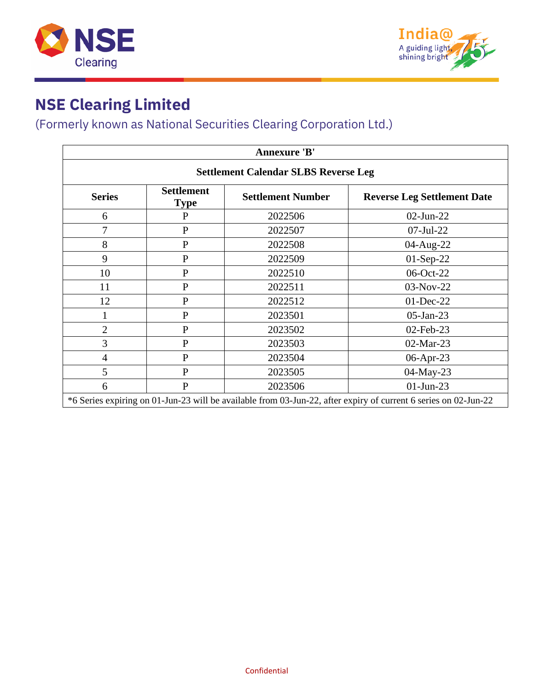



#### (Formerly known as National Securities Clearing Corporation Ltd.)

| <b>Annexure 'B'</b>                                                                                             |                                  |                          |                                    |  |  |
|-----------------------------------------------------------------------------------------------------------------|----------------------------------|--------------------------|------------------------------------|--|--|
| <b>Settlement Calendar SLBS Reverse Leg</b>                                                                     |                                  |                          |                                    |  |  |
| <b>Series</b>                                                                                                   | <b>Settlement</b><br><b>Type</b> | <b>Settlement Number</b> | <b>Reverse Leg Settlement Date</b> |  |  |
| 6                                                                                                               | $\mathbf{P}$                     | 2022506                  | $02$ -Jun-22                       |  |  |
| 7                                                                                                               | $\mathbf{P}$                     | 2022507                  | $07$ -Jul-22                       |  |  |
| 8                                                                                                               | $\mathbf{P}$                     | 2022508                  | 04-Aug-22                          |  |  |
| 9                                                                                                               | $\mathbf{P}$                     | 2022509                  | $01-Sep-22$                        |  |  |
| 10                                                                                                              | $\mathbf{P}$                     | 2022510                  | 06-Oct-22                          |  |  |
| 11                                                                                                              | $\mathbf{P}$                     | 2022511                  | 03-Nov-22                          |  |  |
| 12                                                                                                              | $\mathbf{P}$                     | 2022512                  | 01-Dec-22                          |  |  |
|                                                                                                                 | $\mathbf{P}$                     | 2023501                  | $05$ -Jan-23                       |  |  |
| $\overline{2}$                                                                                                  | $\mathbf{P}$                     | 2023502                  | 02-Feb-23                          |  |  |
| 3                                                                                                               | $\mathbf{P}$                     | 2023503                  | 02-Mar-23                          |  |  |
| 4                                                                                                               | $\mathbf{P}$                     | 2023504                  | 06-Apr-23                          |  |  |
| 5                                                                                                               | $\mathbf{P}$                     | 2023505                  | 04-May-23                          |  |  |
| 6                                                                                                               | $\mathbf{P}$                     | 2023506                  | $01$ -Jun-23                       |  |  |
| *6 Series expiring on 01-Jun-23 will be available from 03-Jun-22, after expiry of current 6 series on 02-Jun-22 |                                  |                          |                                    |  |  |